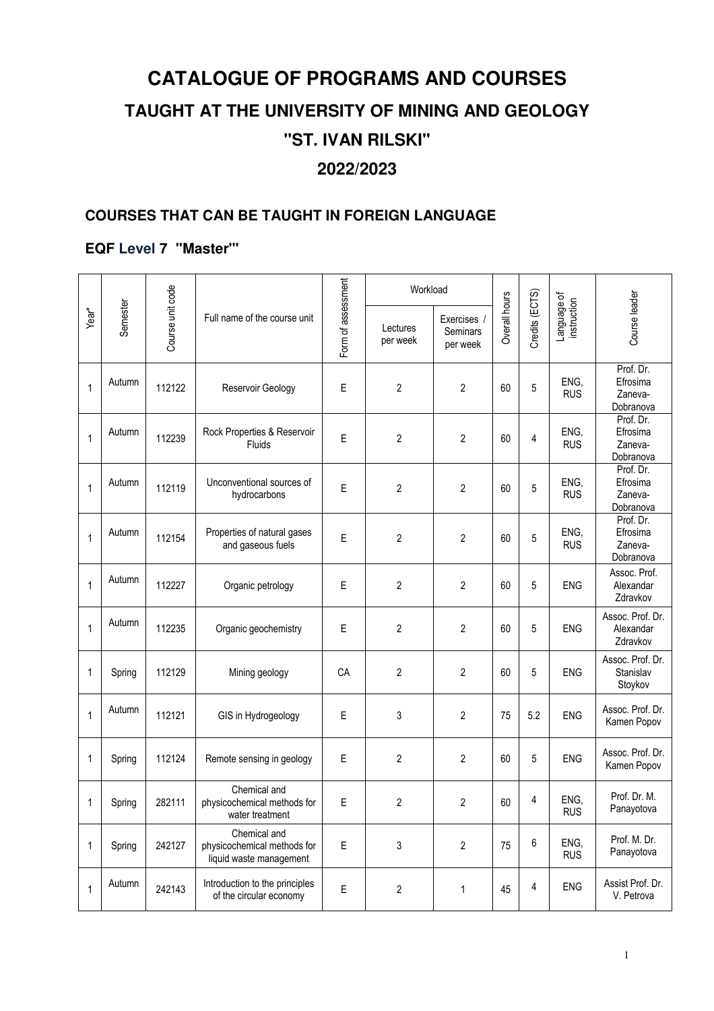# **CATALOGUE OF PROGRAMS AND COURSES TAUGHT AT THE UNIVERSITY OF MINING AND GEOLOGY ''ST. IVAN RILSKI" 2022/2023**

# **COURSES THAT CAN BE TAUGHT IN FOREIGN LANGUAGE**

## **EQF Level 7 ''Master"'**

|              |          |                  |                                                                        |                    | Workload             |                                   |               |                |                            |                                               |
|--------------|----------|------------------|------------------------------------------------------------------------|--------------------|----------------------|-----------------------------------|---------------|----------------|----------------------------|-----------------------------------------------|
| Year*        | Semester | Course unit code | Full name of the course unit                                           | Form of assessment | Lectures<br>per week | Exercises<br>Seminars<br>per week | Overall hours | Credits (ECTS) | Language of<br>instruction | Course leader                                 |
| 1            | Autumn   | 112122           | Reservoir Geology                                                      | Ε                  | $\overline{2}$       | $\overline{2}$                    | 60            | 5              | ENG,<br><b>RUS</b>         | Prof. Dr.<br>Efrosima<br>Zaneva-<br>Dobranova |
| $\mathbf{1}$ | Autumn   | 112239           | Rock Properties & Reservoir<br>Fluids                                  | E                  | 2                    | $\overline{2}$                    | 60            | 4              | ENG,<br><b>RUS</b>         | Prof. Dr.<br>Efrosima<br>Zaneva-<br>Dobranova |
| $\mathbf{1}$ | Autumn   | 112119           | Unconventional sources of<br>hydrocarbons                              | E                  | $\boldsymbol{2}$     | 2                                 | 60            | 5              | ENG,<br><b>RUS</b>         | Prof. Dr.<br>Efrosima<br>Zaneva-<br>Dobranova |
| $\mathbf{1}$ | Autumn   | 112154           | Properties of natural gases<br>and gaseous fuels                       | E                  | 2                    | 2                                 | 60            | 5              | ENG,<br><b>RUS</b>         | Prof. Dr.<br>Efrosima<br>Zaneva-<br>Dobranova |
| $\mathbf{1}$ | Autumn   | 112227           | Organic petrology                                                      | E                  | 2                    | 2                                 | 60            | 5              | <b>ENG</b>                 | Assoc. Prof.<br>Alexandar<br>Zdravkov         |
| $\mathbf{1}$ | Autumn   | 112235           | Organic geochemistry                                                   | Е                  | $\boldsymbol{2}$     | 2                                 | 60            | 5              | <b>ENG</b>                 | Assoc. Prof. Dr.<br>Alexandar<br>Zdravkov     |
| $\mathbf 1$  | Spring   | 112129           | Mining geology                                                         | CA                 | $\overline{c}$       | 2                                 | 60            | 5              | <b>ENG</b>                 | Assoc. Prof. Dr.<br>Stanislav<br>Stoykov      |
| $\mathbf{1}$ | Autumn   | 112121           | GIS in Hydrogeology                                                    | E                  | 3                    | $\overline{2}$                    | 75            | 5.2            | <b>ENG</b>                 | Assoc. Prof. Dr.<br>Kamen Popov               |
| 1            | Spring   | 112124           | Remote sensing in geology                                              | E                  | $\overline{2}$       | $\overline{2}$                    | 60            | 5              | <b>ENG</b>                 | Assoc. Prof. Dr.<br>Kamen Popov               |
| 1            | Spring   | 282111           | Chemical and<br>physicochemical methods for<br>water treatment         | E                  | $\sqrt{2}$           | $\boldsymbol{2}$                  | 60            | 4              | ENG,<br><b>RUS</b>         | Prof. Dr. M.<br>Panayotova                    |
| 1            | Spring   | 242127           | Chemical and<br>physicochemical methods for<br>liquid waste management | $\mathsf E$        | 3                    | $\overline{c}$                    | 75            | 6              | ENG,<br><b>RUS</b>         | Prof. M. Dr.<br>Panayotova                    |
| $\mathbf{1}$ | Autumn   | 242143           | Introduction to the principles<br>of the circular economy              | $\mathsf E$        | 2                    | 1                                 | 45            | 4              | ENG                        | Assist Prof. Dr.<br>V. Petrova                |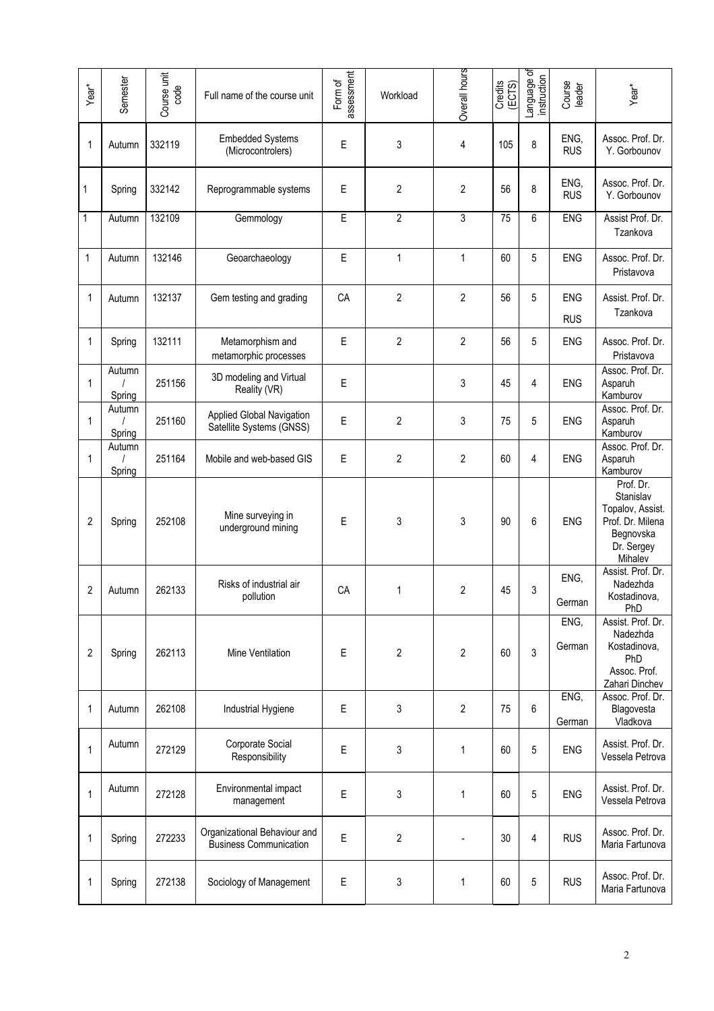| Year <sup>*</sup> | Semester         | Course unit<br>code | Full name of the course unit                                  | assessment<br>Form of | Workload       | Overall hours  | Credits<br>(ECTS) | Language of<br>instruction | Course<br>leader         | Year*                                                                                                |
|-------------------|------------------|---------------------|---------------------------------------------------------------|-----------------------|----------------|----------------|-------------------|----------------------------|--------------------------|------------------------------------------------------------------------------------------------------|
| 1                 | Autumn           | 332119              | <b>Embedded Systems</b><br>(Microcontrolers)                  | Ε                     | 3              | 4              | 105               | 8                          | ENG,<br><b>RUS</b>       | Assoc. Prof. Dr.<br>Y. Gorbounov                                                                     |
| 1                 | Spring           | 332142              | Reprogrammable systems                                        | E                     | 2              | 2              | 56                | 8                          | ENG,<br><b>RUS</b>       | Assoc. Prof. Dr.<br>Y. Gorbounov                                                                     |
| 1                 | Autumn           | 132109              | Gemmology                                                     | E                     | $\overline{2}$ | 3              | $\overline{75}$   | 6                          | <b>ENG</b>               | Assist Prof. Dr.<br>Tzankova                                                                         |
| $\mathbf{1}$      | Autumn           | 132146              | Geoarchaeology                                                | E                     | $\mathbf 1$    | $\mathbf{1}$   | 60                | 5                          | <b>ENG</b>               | Assoc. Prof. Dr.<br>Pristavova                                                                       |
| 1                 | Autumn           | 132137              | Gem testing and grading                                       | CA                    | $\overline{2}$ | $\overline{2}$ | 56                | 5                          | <b>ENG</b><br><b>RUS</b> | Assist. Prof. Dr.<br>Tzankova                                                                        |
| 1                 | Spring           | 132111              | Metamorphism and<br>metamorphic processes                     | E                     | $\overline{2}$ | $\overline{2}$ | 56                | 5                          | <b>ENG</b>               | Assoc. Prof. Dr.<br>Pristavova                                                                       |
| $\mathbf 1$       | Autumn<br>Spring | 251156              | 3D modeling and Virtual<br>Reality (VR)                       | E                     |                | 3              | 45                | 4                          | ENG                      | Assoc. Prof. Dr.<br>Asparuh<br>Kamburov                                                              |
| 1                 | Autumn<br>Spring | 251160              | Applied Global Navigation<br>Satellite Systems (GNSS)         | E                     | $\overline{2}$ | 3              | 75                | 5                          | <b>ENG</b>               | Assoc. Prof. Dr.<br>Asparuh<br>Kamburov                                                              |
| 1                 | Autumn<br>Spring | 251164              | Mobile and web-based GIS                                      | E                     | $\overline{2}$ | $\overline{2}$ | 60                | 4                          | <b>ENG</b>               | Assoc. Prof. Dr.<br>Asparuh<br>Kamburov                                                              |
| $\overline{2}$    | Spring           | 252108              | Mine surveying in<br>underground mining                       | E                     | 3              | 3              | 90                | 6                          | <b>ENG</b>               | Prof. Dr.<br>Stanislav<br>Topalov, Assist.<br>Prof. Dr. Milena<br>Begnovska<br>Dr. Sergey<br>Mihalev |
| $\overline{c}$    | Autumn           | 262133              | Risks of industrial air<br>pollution                          | CA                    | 1              | $\overline{2}$ | 45                | 3                          | ENG,<br>German           | Assist. Prof. Dr.<br>Nadezhda<br>Kostadinova,<br>PhD                                                 |
| 2                 | Spring           | 262113              | Mine Ventilation                                              | Ε                     | 2              | 2              | 60                | 3                          | ENG,<br>German           | Assist. Prof. Dr.<br>Nadezhda<br>Kostadinova,<br>PhD<br>Assoc. Prof.<br>Zahari Dinchev               |
| 1                 | Autumn           | 262108              | Industrial Hygiene                                            | Ε                     | 3              | $\overline{c}$ | 75                | 6                          | ENG,<br>German           | Assoc. Prof. Dr.<br>Blagovesta<br>Vladkova                                                           |
| $\mathbf{1}$      | Autumn           | 272129              | Corporate Social<br>Responsibility                            | Ε                     | 3              | $\mathbf 1$    | 60                | 5                          | ENG                      | Assist. Prof. Dr.<br>Vessela Petrova                                                                 |
| $\mathbf{1}$      | Autumn           | 272128              | Environmental impact<br>management                            | E                     | 3              | 1              | 60                | 5                          | <b>ENG</b>               | Assist. Prof. Dr.<br>Vessela Petrova                                                                 |
| 1                 | Spring           | 272233              | Organizational Behaviour and<br><b>Business Communication</b> | E                     | 2              |                | 30                | 4                          | <b>RUS</b>               | Assoc. Prof. Dr.<br>Maria Fartunova                                                                  |
| 1                 | Spring           | 272138              | Sociology of Management                                       | E                     | 3              | 1              | 60                | 5                          | <b>RUS</b>               | Assoc. Prof. Dr.<br>Maria Fartunova                                                                  |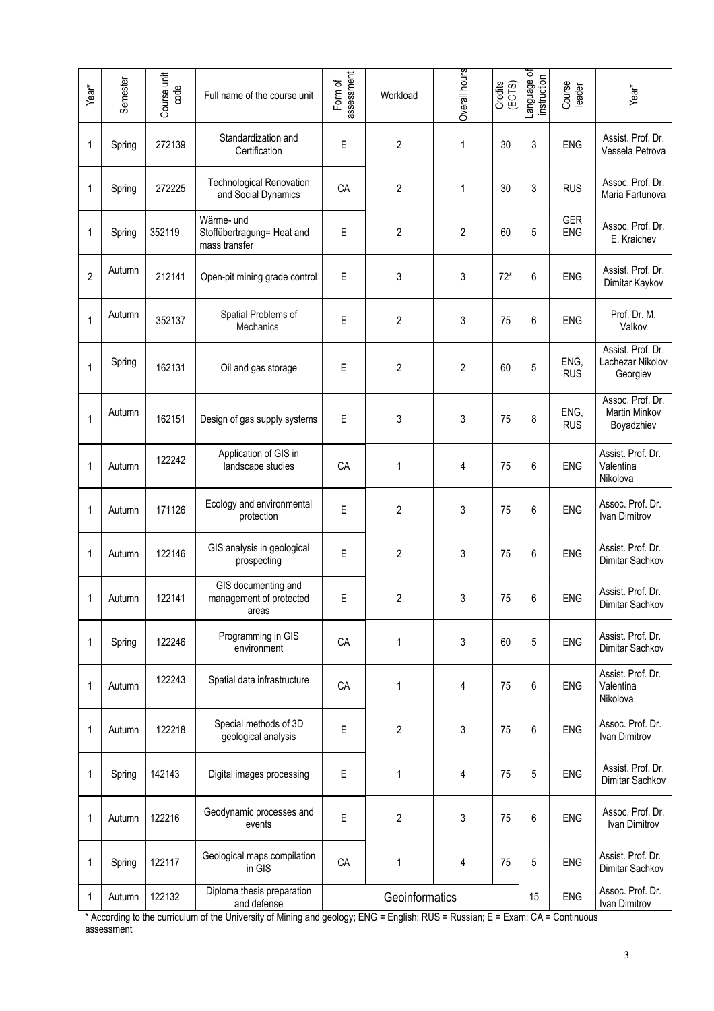| Year <sup>*</sup> | Semester | Course unit<br>code | Full name of the course unit                              | assessment<br>Form of | Workload         | Overall hours  | Credits<br>(ECTS) | Language of<br>instruction | Course<br>leader         | Year*                                             |
|-------------------|----------|---------------------|-----------------------------------------------------------|-----------------------|------------------|----------------|-------------------|----------------------------|--------------------------|---------------------------------------------------|
| 1                 | Spring   | 272139              | Standardization and<br>Certification                      | Ε                     | $\overline{2}$   | 1              | 30                | 3                          | ENG                      | Assist. Prof. Dr.<br>Vessela Petrova              |
| 1                 | Spring   | 272225              | <b>Technological Renovation</b><br>and Social Dynamics    | CA                    | $\overline{2}$   | 1              | 30                | 3                          | <b>RUS</b>               | Assoc. Prof. Dr.<br>Maria Fartunova               |
| 1                 | Spring   | 352119              | Wärme- und<br>Stoffübertragung= Heat and<br>mass transfer | E                     | $\mathbf{2}$     | $\overline{2}$ | 60                | 5                          | <b>GER</b><br><b>ENG</b> | Assoc. Prof. Dr.<br>E. Kraichev                   |
| $\overline{2}$    | Autumn   | 212141              | Open-pit mining grade control                             | E                     | 3                | 3              | $72*$             | 6                          | <b>ENG</b>               | Assist. Prof. Dr.<br>Dimitar Kaykov               |
| 1                 | Autumn   | 352137              | Spatial Problems of<br><b>Mechanics</b>                   | E                     | $\overline{2}$   | 3              | 75                | 6                          | <b>ENG</b>               | Prof. Dr. M.<br>Valkov                            |
| 1                 | Spring   | 162131              | Oil and gas storage                                       | Ε                     | 2                | 2              | 60                | 5                          | ENG,<br><b>RUS</b>       | Assist. Prof. Dr.<br>Lachezar Nikolov<br>Georgiev |
| $\mathbf{1}$      | Autumn   | 162151              | Design of gas supply systems                              | E                     | 3                | 3              | 75                | 8                          | ENG,<br><b>RUS</b>       | Assoc. Prof. Dr.<br>Martin Minkov<br>Boyadzhiev   |
| 1                 | Autumn   | 122242              | Application of GIS in<br>landscape studies                | CA                    | 1                | 4              | 75                | 6                          | <b>ENG</b>               | Assist. Prof. Dr.<br>Valentina<br>Nikolova        |
| 1                 | Autumn   | 171126              | Ecology and environmental<br>protection                   | E                     | 2                | 3              | 75                | 6                          | <b>ENG</b>               | Assoc. Prof. Dr.<br>Ivan Dimitrov                 |
| 1                 | Autumn   | 122146              | GIS analysis in geological<br>prospecting                 | E                     | $\overline{2}$   | 3              | 75                | 6                          | <b>ENG</b>               | Assist. Prof. Dr.<br>Dimitar Sachkov              |
| 1                 | Autumn   | 122141              | GIS documenting and<br>management of protected<br>areas   | E                     | $\boldsymbol{2}$ | 3              | 75                | 6                          | <b>ENG</b>               | Assist. Prof. Dr.<br>Dimitar Sachkov              |
| 1                 | Spring   | 122246              | Programming in GIS<br>environment                         | CA                    | 1                | 3              | 60                | 5                          | ENG                      | Assist. Prof. Dr.<br>Dimitar Sachkov              |
| 1                 | Autumn   | 122243              | Spatial data infrastructure                               | CA                    | 1                | 4              | 75                | 6                          | ENG                      | Assist. Prof. Dr.<br>Valentina<br>Nikolova        |
| 1                 | Autumn   | 122218              | Special methods of 3D<br>geological analysis              | E                     | $\overline{c}$   | 3              | 75                | 6                          | ENG                      | Assoc. Prof. Dr.<br>Ivan Dimitrov                 |
| 1                 | Spring   | 142143              | Digital images processing                                 | E                     | 1                | 4              | 75                | 5                          | ENG                      | Assist. Prof. Dr.<br>Dimitar Sachkov              |
| 1                 | Autumn   | 122216              | Geodynamic processes and<br>events                        | E                     | $\overline{2}$   | 3              | 75                | 6                          | ENG                      | Assoc. Prof. Dr.<br>Ivan Dimitrov                 |
| 1                 | Spring   | 122117              | Geological maps compilation<br>in GIS                     | CA                    | 1                | 4              | 75                | 5                          | ENG                      | Assist. Prof. Dr.<br>Dimitar Sachkov              |
| 1                 | Autumn   | 122132              | Diploma thesis preparation<br>and defense                 |                       | Geoinformatics   |                |                   | 15                         | ENG                      | Assoc. Prof. Dr.<br>Ivan Dimitrov                 |

\* According to the curriculum of the University of Mining and geology; ENG = English; RUS = Russian; E = Exam; CA = Continuous assessment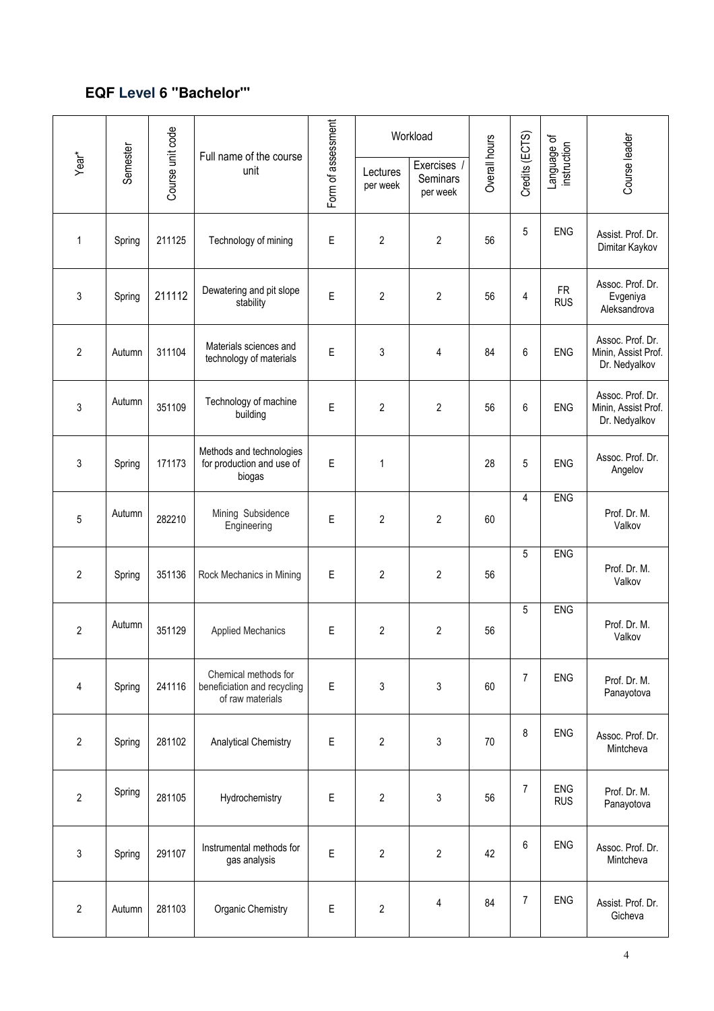# **EQF Level 6 ''Bachelor"'**

|                   |          |                  | Full name of the course                                                 |                    |                      | Workload                          |               |                |                            |                                                          |
|-------------------|----------|------------------|-------------------------------------------------------------------------|--------------------|----------------------|-----------------------------------|---------------|----------------|----------------------------|----------------------------------------------------------|
| Year <sup>*</sup> | Semester | Course unit code | unit                                                                    | Form of assessment | Lectures<br>per week | Exercises<br>Seminars<br>per week | Overall hours | Credits (ECTS) | Language of<br>instruction | Course leader                                            |
| $\mathbf{1}$      | Spring   | 211125           | Technology of mining                                                    | E                  | 2                    | $\overline{2}$                    | 56            | 5              | <b>ENG</b>                 | Assist. Prof. Dr.<br>Dimitar Kaykov                      |
| $\mathfrak{Z}$    | Spring   | 211112           | Dewatering and pit slope<br>stability                                   | E                  | $\overline{c}$       | $\overline{2}$                    | 56            | $\overline{4}$ | <b>FR</b><br><b>RUS</b>    | Assoc. Prof. Dr.<br>Evgeniya<br>Aleksandrova             |
| $\overline{2}$    | Autumn   | 311104           | Materials sciences and<br>technology of materials                       | E                  | 3                    | 4                                 | 84            | $6\,$          | <b>ENG</b>                 | Assoc. Prof. Dr.<br>Minin, Assist Prof.<br>Dr. Nedyalkov |
| $\sqrt{3}$        | Autumn   | 351109           | Technology of machine<br>building                                       | E                  | 2                    | $\overline{2}$                    | 56            | 6              | <b>ENG</b>                 | Assoc. Prof. Dr.<br>Minin, Assist Prof.<br>Dr. Nedyalkov |
| $\sqrt{3}$        | Spring   | 171173           | Methods and technologies<br>for production and use of<br>biogas         | Ε                  | 1                    |                                   | 28            | 5              | <b>ENG</b>                 | Assoc. Prof. Dr.<br>Angelov                              |
| $\overline{5}$    | Autumn   | 282210           | Mining Subsidence<br>Engineering                                        | E                  | 2                    | $\overline{2}$                    | 60            | 4              | <b>ENG</b>                 | Prof. Dr. M.<br>Valkov                                   |
| $\overline{2}$    | Spring   | 351136           | Rock Mechanics in Mining                                                | E                  | 2                    | $\overline{2}$                    | 56            | 5              | <b>ENG</b>                 | Prof. Dr. M.<br>Valkov                                   |
| $\overline{2}$    | Autumn   | 351129           | <b>Applied Mechanics</b>                                                | Ε                  | 2                    | $\boldsymbol{2}$                  | 56            | 5              | <b>ENG</b>                 | Prof. Dr. M.<br>Valkov                                   |
| $\overline{4}$    | Spring   | 241116           | Chemical methods for<br>beneficiation and recycling<br>of raw materials | Ε                  | 3                    | 3                                 | 60            | $\overline{7}$ | <b>ENG</b>                 | Prof. Dr. M.<br>Panayotova                               |
| $\sqrt{2}$        | Spring   | 281102           | <b>Analytical Chemistry</b>                                             | Ε                  | $\overline{c}$       | 3                                 | 70            | 8              | <b>ENG</b>                 | Assoc. Prof. Dr.<br>Mintcheva                            |
| $\overline{2}$    | Spring   | 281105           | Hydrochemistry                                                          | E                  | $\overline{c}$       | 3                                 | 56            | $\overline{7}$ | <b>ENG</b><br><b>RUS</b>   | Prof. Dr. M.<br>Panayotova                               |
| $\mathsf 3$       | Spring   | 291107           | Instrumental methods for<br>gas analysis                                | E                  | $\overline{c}$       | $\overline{2}$                    | 42            | 6              | <b>ENG</b>                 | Assoc. Prof. Dr.<br>Mintcheva                            |
| $\sqrt{2}$        | Autumn   | 281103           | Organic Chemistry                                                       | E                  | $\overline{2}$       | 4                                 | 84            | $\overline{7}$ | <b>ENG</b>                 | Assist. Prof. Dr.<br>Gicheva                             |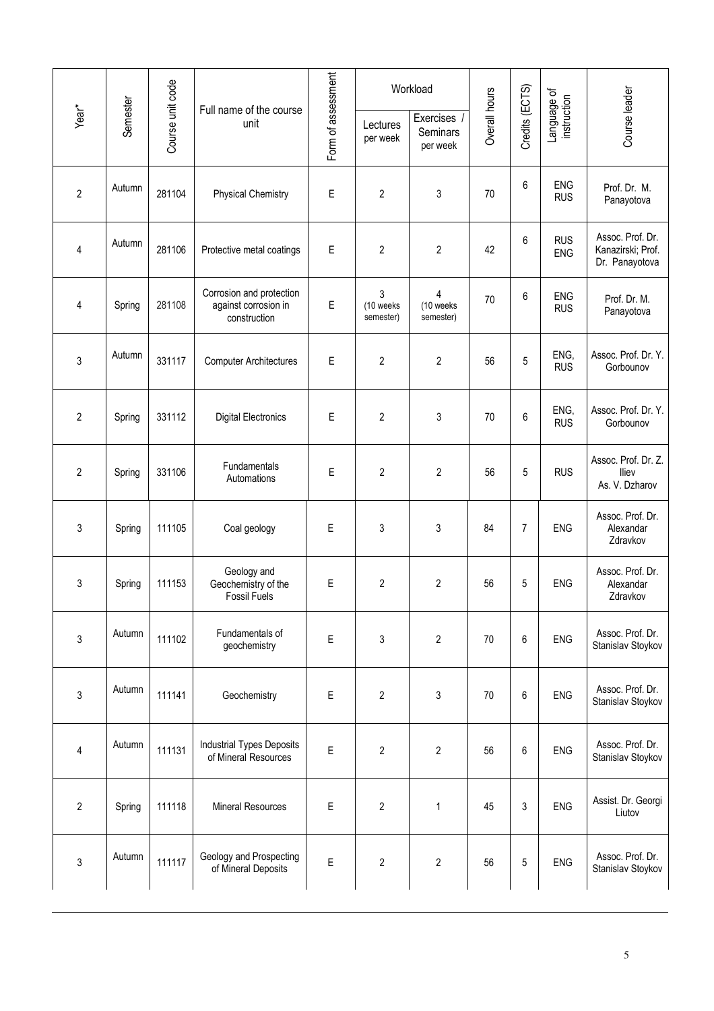|                         |          |                  |                                                                  |                    |                             | Workload                            |               |                |                            |                                                         |
|-------------------------|----------|------------------|------------------------------------------------------------------|--------------------|-----------------------------|-------------------------------------|---------------|----------------|----------------------------|---------------------------------------------------------|
| Year*                   | Semester | Course unit code | Full name of the course<br>unit                                  | Form of assessment | Lectures<br>per week        | Exercises /<br>Seminars<br>per week | Overall hours | Credits (ECTS) | Language of<br>instruction | Course leader                                           |
| $\overline{2}$          | Autumn   | 281104           | <b>Physical Chemistry</b>                                        | E                  | 2                           | 3                                   | 70            | 6              | ENG<br><b>RUS</b>          | Prof. Dr. M.<br>Panayotova                              |
| $\overline{\mathbf{4}}$ | Autumn   | 281106           | Protective metal coatings                                        | E                  | 2                           | $\overline{2}$                      | 42            | 6              | <b>RUS</b><br>ENG          | Assoc. Prof. Dr.<br>Kanazirski; Prof.<br>Dr. Panayotova |
| 4                       | Spring   | 281108           | Corrosion and protection<br>against corrosion in<br>construction | Ε                  | 3<br>(10 weeks<br>semester) | 4<br>(10 weeks<br>semester)         | 70            | 6              | <b>ENG</b><br><b>RUS</b>   | Prof. Dr. M.<br>Panayotova                              |
| $\mathfrak{z}$          | Autumn   | 331117           | <b>Computer Architectures</b>                                    | E                  | 2                           | $\overline{2}$                      | 56            | 5              | ENG,<br><b>RUS</b>         | Assoc. Prof. Dr. Y.<br>Gorbounov                        |
| $\overline{2}$          | Spring   | 331112           | <b>Digital Electronics</b>                                       | E                  | $\overline{c}$              | 3                                   | 70            | 6              | ENG,<br><b>RUS</b>         | Assoc. Prof. Dr. Y.<br>Gorbounov                        |
| $\overline{2}$          | Spring   | 331106           | Fundamentals<br>Automations                                      | Ε                  | $\overline{2}$              | $\overline{2}$                      | 56            | 5              | <b>RUS</b>                 | Assoc. Prof. Dr. Z.<br>lliev<br>As. V. Dzharov          |
| 3                       | Spring   | 111105           | Coal geology                                                     | Ε                  | 3                           | 3                                   | 84            | 7              | <b>ENG</b>                 | Assoc. Prof. Dr.<br>Alexandar<br>Zdravkov               |
| 3                       | Spring   | 111153           | Geology and<br>Geochemistry of the<br><b>Fossil Fuels</b>        | Ε                  | 2                           | $\overline{c}$                      | 56            | 5              | <b>ENG</b>                 | Assoc. Prof. Dr.<br>Alexandar<br>Zdravkov               |
| $\mathsf 3$             | Autumn   | 111102           | Fundamentals of<br>geochemistry                                  | E                  | 3                           | $\overline{2}$                      | 70            | 6              | <b>ENG</b>                 | Assoc. Prof. Dr.<br>Stanislav Stoykov                   |
| 3                       | Autumn   | 111141           | Geochemistry                                                     | Ε                  | 2                           | 3                                   | 70            | 6              | ENG                        | Assoc. Prof. Dr.<br>Stanislav Stoykov                   |
| $\overline{4}$          | Autumn   | 111131           | <b>Industrial Types Deposits</b><br>of Mineral Resources         | E                  | 2                           | $\overline{2}$                      | 56            | 6              | ENG                        | Assoc. Prof. Dr.<br>Stanislav Stoykov                   |
| $\overline{2}$          | Spring   | 111118           | <b>Mineral Resources</b>                                         | Ε                  | 2                           | 1                                   | 45            | 3              | ENG                        | Assist. Dr. Georgi<br>Liutov                            |
| 3                       | Autumn   | 111117           | Geology and Prospecting<br>of Mineral Deposits                   | E                  | 2                           | $\overline{\mathbf{c}}$             | 56            | 5              | <b>ENG</b>                 | Assoc. Prof. Dr.<br>Stanislav Stoykov                   |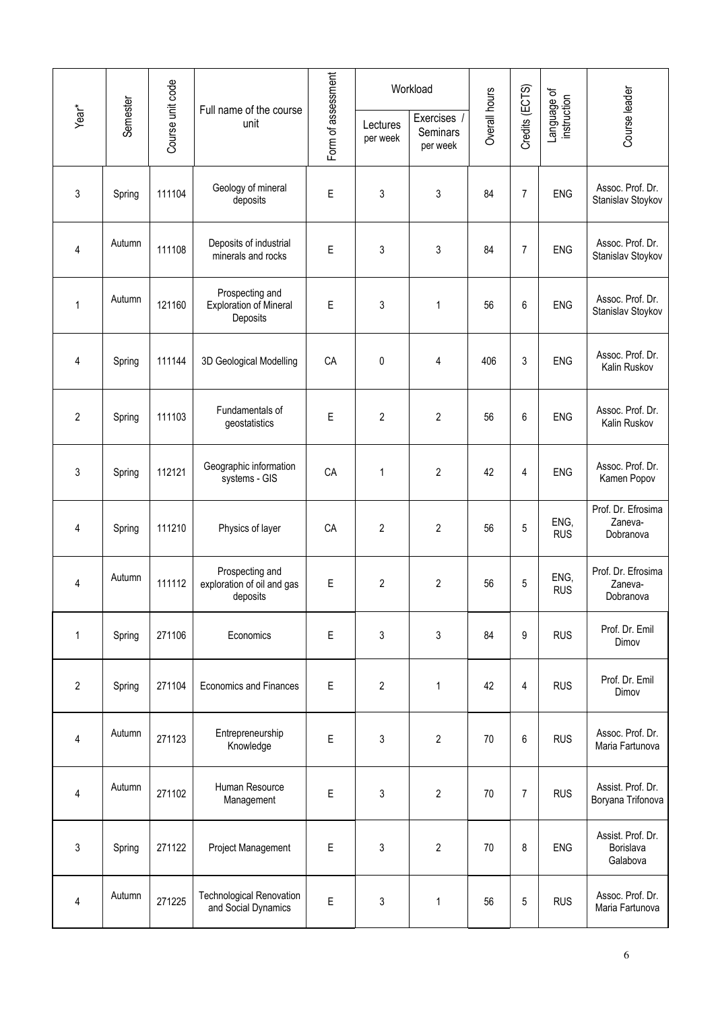|                |          |                  |                                                              |                    |                      | Workload                                 |               |                |                            |                                            |
|----------------|----------|------------------|--------------------------------------------------------------|--------------------|----------------------|------------------------------------------|---------------|----------------|----------------------------|--------------------------------------------|
| Year*          | Semester | Course unit code | Full name of the course<br>unit                              | Form of assessment | Lectures<br>per week | Exercises<br><b>Seminars</b><br>per week | Overall hours | Credits (ECTS) | Language of<br>instruction | Course leader                              |
| $\mathsf 3$    | Spring   | 111104           | Geology of mineral<br>deposits                               | E                  | 3                    | 3                                        | 84            | 7              | ENG                        | Assoc. Prof. Dr.<br>Stanislav Stoykov      |
| 4              | Autumn   | 111108           | Deposits of industrial<br>minerals and rocks                 | E                  | 3                    | 3                                        | 84            | 7              | ENG                        | Assoc. Prof. Dr.<br>Stanislav Stoykov      |
| $\mathbf{1}$   | Autumn   | 121160           | Prospecting and<br><b>Exploration of Mineral</b><br>Deposits | $\mathsf E$        | 3                    | 1                                        | 56            | 6              | <b>ENG</b>                 | Assoc. Prof. Dr.<br>Stanislav Stoykov      |
| 4              | Spring   | 111144           | 3D Geological Modelling                                      | CA                 | 0                    | 4                                        | 406           | 3              | <b>ENG</b>                 | Assoc. Prof. Dr.<br>Kalin Ruskov           |
| $\overline{2}$ | Spring   | 111103           | Fundamentals of<br>geostatistics                             | E                  | $\overline{2}$       | $\overline{2}$                           | 56            | 6              | <b>ENG</b>                 | Assoc. Prof. Dr.<br>Kalin Ruskov           |
| 3              | Spring   | 112121           | Geographic information<br>systems - GIS                      | CA                 | 1                    | $\overline{2}$                           | 42            | 4              | <b>ENG</b>                 | Assoc. Prof. Dr.<br>Kamen Popov            |
| 4              | Spring   | 111210           | Physics of layer                                             | CA                 | 2                    | $\mathbf{2}$                             | 56            | 5              | ENG,<br><b>RUS</b>         | Prof. Dr. Efrosima<br>Zaneva-<br>Dobranova |
| 4              | Autumn   | 111112           | Prospecting and<br>exploration of oil and gas<br>deposits    | Ε                  | 2                    | $\overline{2}$                           | 56            | 5              | ENG,<br><b>RUS</b>         | Prof. Dr. Efrosima<br>Zaneva-<br>Dobranova |
| $\mathbf{1}$   | Spring   | 271106           | Economics                                                    | $\mathsf E$        | 3                    | 3                                        | 84            | 9              | <b>RUS</b>                 | Prof. Dr. Emil<br>Dimov                    |
| $\overline{2}$ | Spring   | 271104           | <b>Economics and Finances</b>                                | $\mathsf E$        | 2                    | $\mathbf{1}$                             | 42            | 4              | <b>RUS</b>                 | Prof. Dr. Emil<br>Dimov                    |
| 4              | Autumn   | 271123           | Entrepreneurship<br>Knowledge                                | E                  | 3                    | $\overline{2}$                           | 70            | 6              | <b>RUS</b>                 | Assoc. Prof. Dr.<br>Maria Fartunova        |
| $\overline{4}$ | Autumn   | 271102           | Human Resource<br>Management                                 | $\mathsf E$        | 3                    | $\overline{c}$                           | 70            | 7              | <b>RUS</b>                 | Assist. Prof. Dr.<br>Boryana Trifonova     |
| 3              | Spring   | 271122           | Project Management                                           | Ε                  | 3                    | $\overline{c}$                           | 70            | 8              | <b>ENG</b>                 | Assist. Prof. Dr.<br>Borislava<br>Galabova |
| $\overline{4}$ | Autumn   | 271225           | <b>Technological Renovation</b><br>and Social Dynamics       | $\mathsf E$        | 3                    | 1                                        | 56            | 5              | <b>RUS</b>                 | Assoc. Prof. Dr.<br>Maria Fartunova        |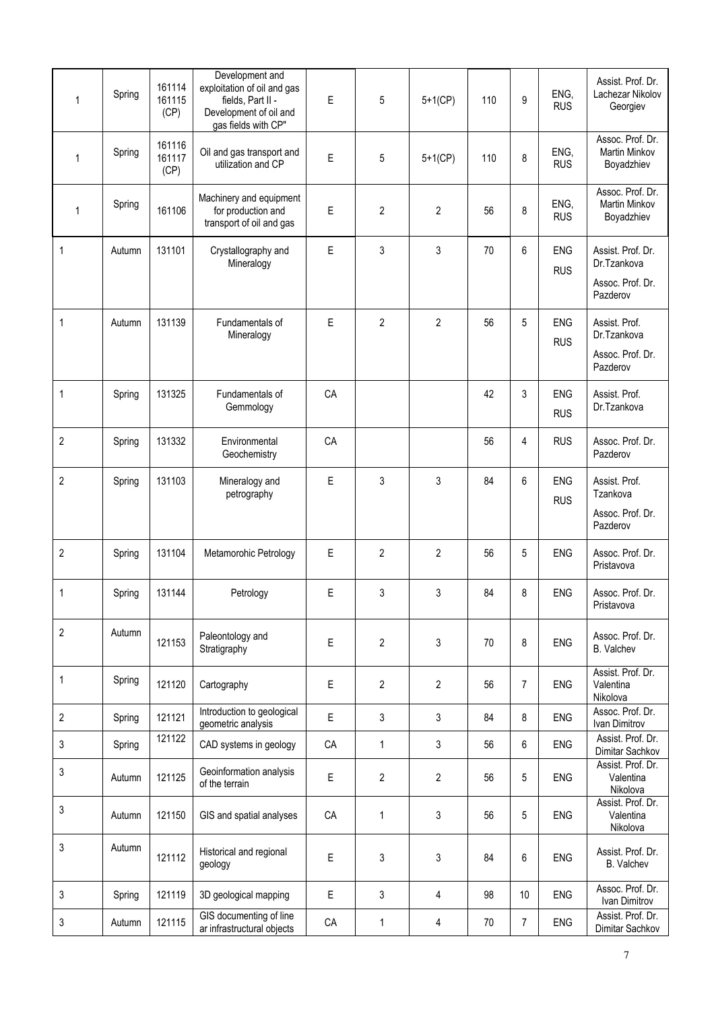| 1              | Spring | 161114<br>161115<br>(CP) | Development and<br>exploitation of oil and gas<br>fields, Part II -<br>Development of oil and<br>gas fields with CP" | E           | 5              | $5+1$ (CP)     | 110 | 9              | ENG,<br><b>RUS</b>       | Assist. Prof. Dr.<br>Lachezar Nikolov<br>Georgiev                |
|----------------|--------|--------------------------|----------------------------------------------------------------------------------------------------------------------|-------------|----------------|----------------|-----|----------------|--------------------------|------------------------------------------------------------------|
| $\mathbf{1}$   | Spring | 161116<br>161117<br>(CP) | Oil and gas transport and<br>utilization and CP                                                                      | E           | 5              | $5+1(CP)$      | 110 | 8              | ENG,<br><b>RUS</b>       | Assoc. Prof. Dr.<br>Martin Minkov<br>Boyadzhiev                  |
| $\mathbf{1}$   | Spring | 161106                   | Machinery and equipment<br>for production and<br>transport of oil and gas                                            | E           | 2              | 2              | 56  | 8              | ENG,<br><b>RUS</b>       | Assoc. Prof. Dr.<br><b>Martin Minkov</b><br>Boyadzhiev           |
| 1              | Autumn | 131101                   | Crystallography and<br>Mineralogy                                                                                    | E           | 3              | 3              | 70  | 6              | <b>ENG</b><br><b>RUS</b> | Assist. Prof. Dr.<br>Dr.Tzankova<br>Assoc. Prof. Dr.<br>Pazderov |
| 1              | Autumn | 131139                   | Fundamentals of<br>Mineralogy                                                                                        | E           | 2              | 2              | 56  | 5              | <b>ENG</b><br><b>RUS</b> | Assist. Prof.<br>Dr.Tzankova<br>Assoc. Prof. Dr.<br>Pazderov     |
| 1              | Spring | 131325                   | Fundamentals of<br>Gemmology                                                                                         | CA          |                |                | 42  | 3              | <b>ENG</b><br><b>RUS</b> | Assist. Prof.<br>Dr.Tzankova                                     |
| $\overline{2}$ | Spring | 131332                   | Environmental<br>Geochemistry                                                                                        | CA          |                |                | 56  | 4              | <b>RUS</b>               | Assoc. Prof. Dr.<br>Pazderov                                     |
| 2              | Spring | 131103                   | Mineralogy and<br>petrography                                                                                        | E           | 3              | 3              | 84  | 6              | <b>ENG</b><br><b>RUS</b> | Assist. Prof.<br>Tzankova<br>Assoc. Prof. Dr.<br>Pazderov        |
| 2              | Spring | 131104                   | Metamorohic Petrology                                                                                                | Е           | 2              | 2              | 56  | 5              | <b>ENG</b>               | Assoc. Prof. Dr.<br>Pristavova                                   |
| 1              | Spring | 131144                   | Petrology                                                                                                            | E           | 3              | 3              | 84  | 8              | <b>ENG</b>               | Assoc. Prof. Dr.<br>Pristavova                                   |
| $\overline{2}$ | Autumn | 121153                   | Paleontology and<br>Stratigraphy                                                                                     | $\mathsf E$ | $\overline{2}$ | 3              | 70  | 8              | <b>ENG</b>               | Assoc. Prof. Dr.<br>B. Valchev                                   |
| 1              | Spring | 121120                   | Cartography                                                                                                          | $\mathsf E$ | $\overline{2}$ | $\overline{2}$ | 56  | $\overline{7}$ | <b>ENG</b>               | Assist. Prof. Dr.<br>Valentina<br>Nikolova                       |
| 2              | Spring | 121121                   | Introduction to geological<br>geometric analysis                                                                     | E           | 3              | 3              | 84  | 8              | <b>ENG</b>               | Assoc. Prof. Dr.<br>Ivan Dimitrov                                |
| 3              | Spring | 121122                   | CAD systems in geology                                                                                               | CA          | 1              | 3              | 56  | 6              | ENG                      | Assist. Prof. Dr.<br>Dimitar Sachkov                             |
| 3              | Autumn | 121125                   | Geoinformation analysis<br>of the terrain                                                                            | E           | $\overline{2}$ | $\overline{c}$ | 56  | 5              | ENG                      | Assist. Prof. Dr.<br>Valentina<br>Nikolova                       |
| 3              | Autumn | 121150                   | GIS and spatial analyses                                                                                             | CA          | 1              | 3              | 56  | 5              | ENG                      | Assist. Prof. Dr.<br>Valentina<br>Nikolova                       |
| 3              | Autumn | 121112                   | Historical and regional<br>geology                                                                                   | E           | 3              | 3              | 84  | 6              | <b>ENG</b>               | Assist. Prof. Dr.<br>B. Valchev                                  |
| 3              | Spring | 121119                   | 3D geological mapping                                                                                                | $\mathsf E$ | 3              | 4              | 98  | $10$           | <b>ENG</b>               | Assoc. Prof. Dr.<br>Ivan Dimitrov                                |
| 3              | Autumn | 121115                   | GIS documenting of line<br>ar infrastructural objects                                                                | CA          | 1              | 4              | 70  | 7              | ENG                      | Assist. Prof. Dr.<br>Dimitar Sachkov                             |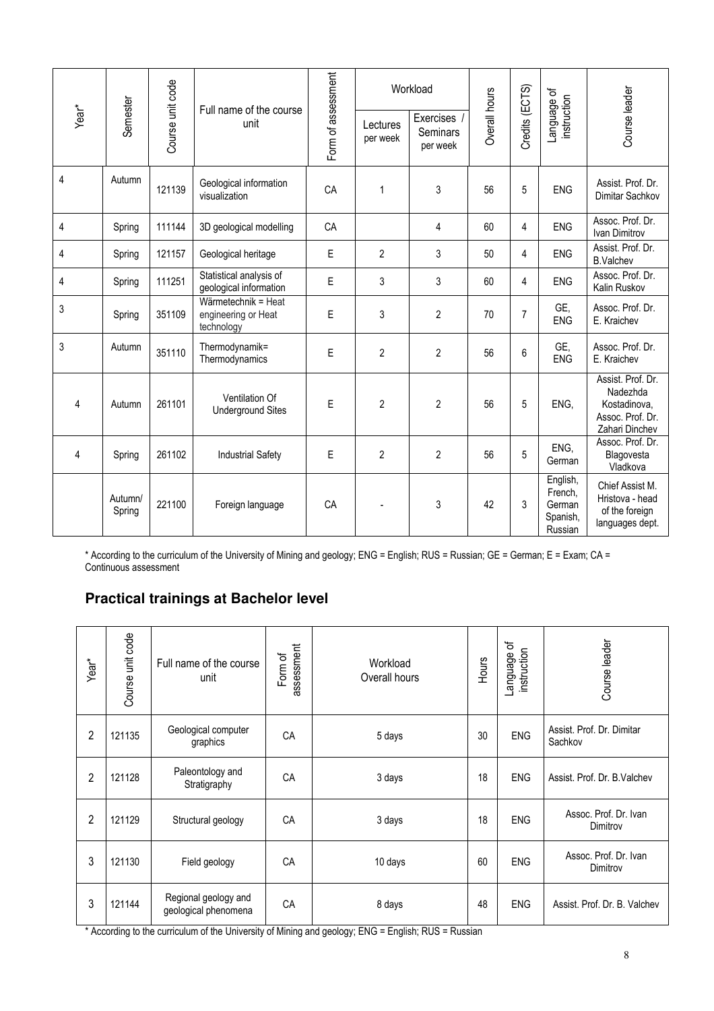|                   |                   |                  | Full name of the course                                  |                    |                      | Workload                          |               |                |                                                      |                                                                                     |
|-------------------|-------------------|------------------|----------------------------------------------------------|--------------------|----------------------|-----------------------------------|---------------|----------------|------------------------------------------------------|-------------------------------------------------------------------------------------|
| Year <sup>*</sup> | Semester          | Course unit code | unit                                                     | Form of assessment | Lectures<br>per week | Exercises<br>Seminars<br>per week | Overall hours | Credits (ECTS) | Language of<br>instruction                           | Course leader                                                                       |
| 4                 | Autumn            | 121139           | Geological information<br>visualization                  | CA                 | 1                    | 3                                 | 56            | 5              | <b>ENG</b>                                           | Assist. Prof. Dr.<br>Dimitar Sachkov                                                |
| 4                 | Spring            | 111144           | 3D geological modelling                                  | CA                 |                      | 4                                 | 60            | 4              | ENG                                                  | Assoc. Prof. Dr.<br>Ivan Dimitrov                                                   |
| 4                 | Spring            | 121157           | Geological heritage                                      | E                  | 2                    | 3                                 | 50            | 4              | <b>ENG</b>                                           | Assist. Prof. Dr.<br><b>B.Valchev</b>                                               |
| 4                 | Spring            | 111251           | Statistical analysis of<br>geological information        | E                  | 3                    | 3                                 | 60            | 4              | <b>ENG</b>                                           | Assoc. Prof. Dr.<br>Kalin Ruskov                                                    |
| 3                 | Spring            | 351109           | Wärmetechnik = Heat<br>engineering or Heat<br>technology | E                  | 3                    | $\overline{2}$                    | 70            | $\overline{7}$ | GE,<br><b>ENG</b>                                    | Assoc. Prof. Dr.<br>E. Kraichev                                                     |
| 3                 | Autumn            | 351110           | Thermodynamik=<br>Thermodynamics                         | E                  | $\overline{2}$       | $\overline{2}$                    | 56            | 6              | GE,<br><b>ENG</b>                                    | Assoc. Prof. Dr.<br>E. Kraichev                                                     |
| 4                 | Autumn            | 261101           | Ventilation Of<br><b>Underground Sites</b>               | E                  | $\overline{2}$       | $\overline{2}$                    | 56            | 5              | ENG,                                                 | Assist. Prof. Dr.<br>Nadezhda<br>Kostadinova,<br>Assoc. Prof. Dr.<br>Zahari Dinchev |
| 4                 | Spring            | 261102           | <b>Industrial Safety</b>                                 | E                  | $\overline{2}$       | $\overline{2}$                    | 56            | 5              | ENG,<br>German                                       | Assoc. Prof. Dr.<br>Blagovesta<br>Vladkova                                          |
|                   | Autumn/<br>Spring | 221100           | Foreign language                                         | CA                 |                      | 3                                 | 42            | 3              | English,<br>French,<br>German<br>Spanish,<br>Russian | Chief Assist M.<br>Hristova - head<br>of the foreign<br>languages dept.             |

\* According to the curriculum of the University of Mining and geology; ENG = English; RUS = Russian; GE = German; E = Exam; CA = Continuous assessment

## **Practical trainings at Bachelor level**

| Year <sup>*</sup> | Course unit code | Full name of the course<br>unit              | assessment<br>Form of | Workload<br>Overall hours | <b>Hours</b> | ᡃᡠ<br>instruction<br>anguage | Course leader                        |
|-------------------|------------------|----------------------------------------------|-----------------------|---------------------------|--------------|------------------------------|--------------------------------------|
| $\overline{2}$    | 121135           | Geological computer<br>graphics              | CA                    | 5 days                    | 30           | <b>ENG</b>                   | Assist, Prof. Dr. Dimitar<br>Sachkov |
| 2                 | 121128           | Paleontology and<br>Stratigraphy             | CA                    | 3 days                    | 18           | <b>ENG</b>                   | Assist. Prof. Dr. B. Valchev         |
| $\overline{2}$    | 121129           | Structural geology                           | CA                    | 3 days                    | 18           | <b>ENG</b>                   | Assoc. Prof. Dr. Ivan<br>Dimitrov    |
| 3                 | 121130           | Field geology                                | CA                    | 10 days                   | 60           | <b>ENG</b>                   | Assoc. Prof. Dr. Ivan<br>Dimitrov    |
| 3                 | 121144           | Regional geology and<br>geological phenomena | CA                    | 8 days                    | 48           | <b>ENG</b>                   | Assist. Prof. Dr. B. Valchev         |

\* According to the curriculum of the University of Mining and geology; ENG = English; RUS = Russian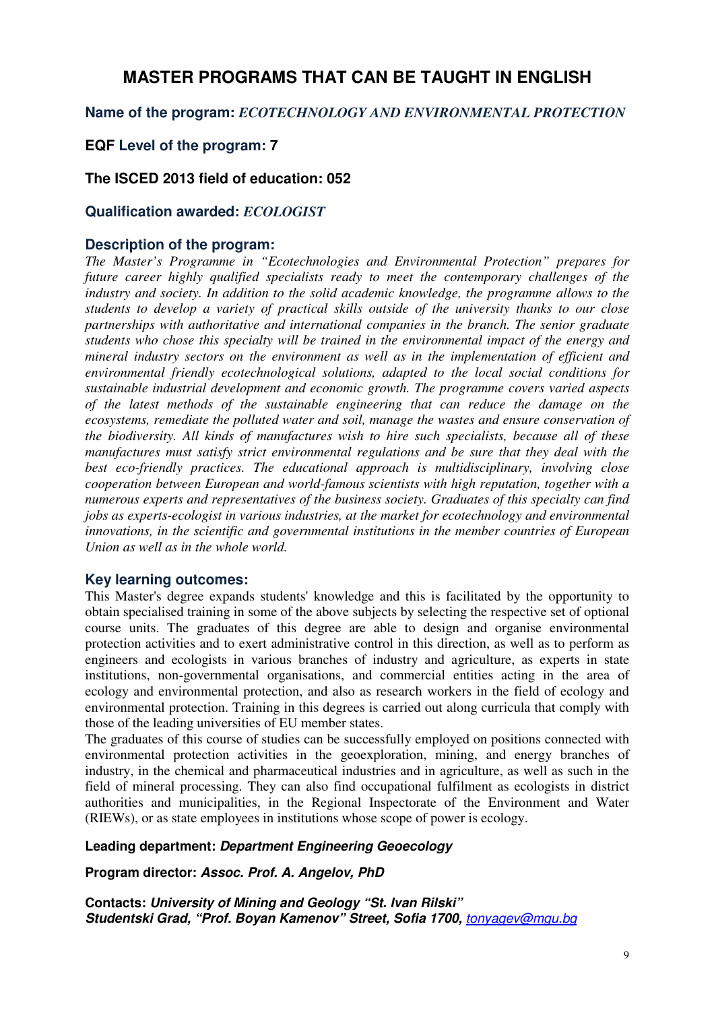# **MASTER PROGRAMS THAT CAN BE TAUGHT IN ENGLISH**

#### **Name of the program:** *ECOTECHNOLOGY AND ENVIRONMENTAL PROTECTION*

#### **EQF Level of the program: 7**

#### **The ISCED 2013 field of education: 052**

#### **Qualification awarded:** *ECOLOGIST*

#### **Description of the program:**

*The Master's Programme in "Ecotechnologies and Environmental Protection" prepares for future career highly qualified specialists ready to meet the contemporary challenges of the industry and society. In addition to the solid academic knowledge, the programme allows to the students to develop a variety of practical skills outside of the university thanks to our close partnerships with authoritative and international companies in the branch. The senior graduate students who chose this specialty will be trained in the environmental impact of the energy and mineral industry sectors on the environment as well as in the implementation of efficient and environmental friendly ecotechnological solutions, adapted to the local social conditions for sustainable industrial development and economic growth. The programme covers varied aspects of the latest methods of the sustainable engineering that can reduce the damage on the ecosystems, remediate the polluted water and soil, manage the wastes and ensure conservation of the biodiversity. All kinds of manufactures wish to hire such specialists, because all of these manufactures must satisfy strict environmental regulations and be sure that they deal with the best eco-friendly practices. The educational approach is multidisciplinary, involving close cooperation between European and world-famous scientists with high reputation, together with a numerous experts and representatives of the business society. Graduates of this specialty can find jobs as experts-ecologist in various industries, at the market for ecotechnology and environmental innovations, in the scientific and governmental institutions in the member countries of European Union as well as in the whole world.* 

#### **Key learning outcomes:**

This Master's degree expands students' knowledge and this is facilitated by the opportunity to obtain specialised training in some of the above subjects by selecting the respective set of optional course units. The graduates of this degree are able to design and organise environmental protection activities and to exert administrative control in this direction, as well as to perform as engineers and ecologists in various branches of industry and agriculture, as experts in state institutions, non-governmental organisations, and commercial entities acting in the area of ecology and environmental protection, and also as research workers in the field of ecology and environmental protection. Training in this degrees is carried out along curricula that comply with those of the leading universities of EU member states.

The graduates of this course of studies can be successfully employed on positions connected with environmental protection activities in the geoexploration, mining, and energy branches of industry, in the chemical and pharmaceutical industries and in agriculture, as well as such in the field of mineral processing. They can also find occupational fulfilment as ecologists in district authorities and municipalities, in the Regional Inspectorate of the Environment and Water (RIEWs), or as state employees in institutions whose scope of power is ecology.

#### **Leading department: Department Engineering Geoecology**

**Program director: Assoc. Prof. A. Angelov, PhD**

**Contacts: University of Mining and Geology "St. Ivan Rilski" Studentski Grad, "Prof. Boyan Kamenov" Street, Sofia 1700,** tonyagev@mgu.bg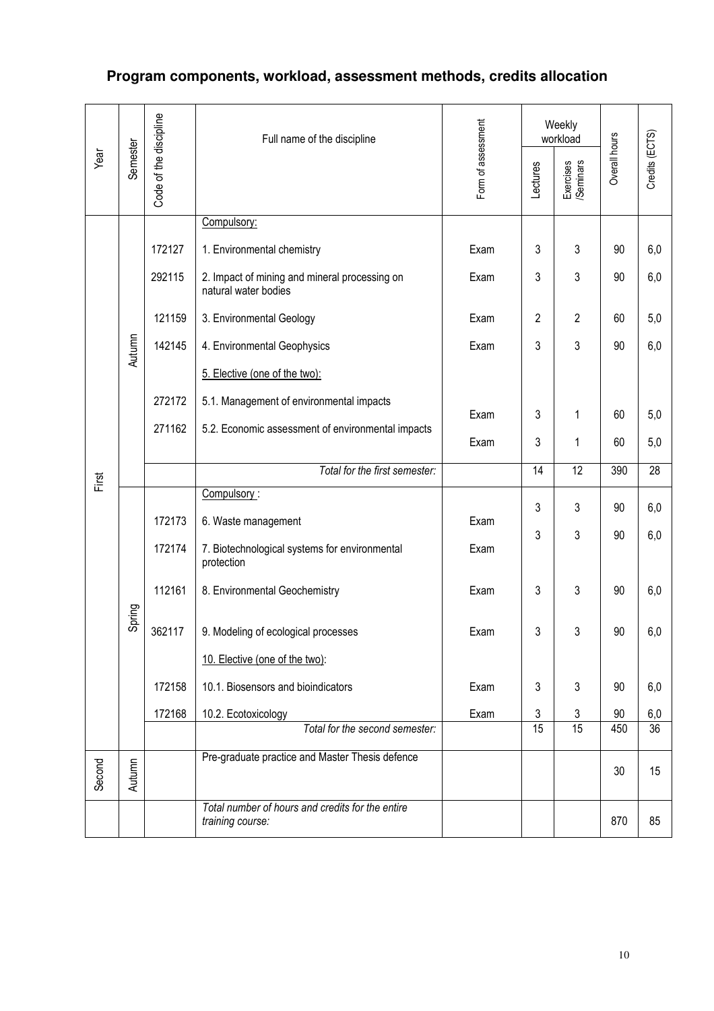# **Program components, workload, assessment methods, credits allocation**

|        |          |                        | Full name of the discipline                                           |                                                                                                                                                                                                                                                                                                                                                                                                                                                                                                                                                                  |          | Weekly<br>workload     |    |     |
|--------|----------|------------------------|-----------------------------------------------------------------------|------------------------------------------------------------------------------------------------------------------------------------------------------------------------------------------------------------------------------------------------------------------------------------------------------------------------------------------------------------------------------------------------------------------------------------------------------------------------------------------------------------------------------------------------------------------|----------|------------------------|----|-----|
| Year   | Semester | Code of the discipline |                                                                       |                                                                                                                                                                                                                                                                                                                                                                                                                                                                                                                                                                  | Lectures | Exercises<br>/Seminars |    |     |
|        |          |                        | Compulsory:                                                           |                                                                                                                                                                                                                                                                                                                                                                                                                                                                                                                                                                  |          |                        |    |     |
|        |          | 172127                 | 1. Environmental chemistry                                            | Exam                                                                                                                                                                                                                                                                                                                                                                                                                                                                                                                                                             | 3        | 3                      | 90 | 6,0 |
|        |          | 292115                 | 2. Impact of mining and mineral processing on<br>natural water bodies | Exam                                                                                                                                                                                                                                                                                                                                                                                                                                                                                                                                                             | 3        | 3                      | 90 | 6,0 |
|        |          | 121159                 | 3. Environmental Geology                                              | Form of assessment<br>Credits (ECTS)<br>Overall hours<br>$\overline{2}$<br>2<br>60<br>5,0<br>Exam<br>3<br>3<br>90<br>6,0<br>Exam<br>3<br>60<br>Exam<br>1<br>5,0<br>3<br>5,0<br>Exam<br>1<br>60<br>Total for the first semester:<br>$\overline{12}$<br>390<br>14<br>28<br>3<br>3<br>6,0<br>90<br>Exam<br>3<br>3<br>90<br>6,0<br>Exam<br>3<br>3<br>6,0<br>Exam<br>90<br>3<br>3<br>90<br>6,0<br>Exam<br>3<br>90<br>6,0<br>3<br>Exam<br>3<br>3<br>Exam<br>90<br>6,0<br>15<br>15<br>450<br>$\overline{36}$<br>Total for the second semester:<br>15<br>30<br>870<br>85 |          |                        |    |     |
|        | Autumn   | 142145                 | 4. Environmental Geophysics                                           |                                                                                                                                                                                                                                                                                                                                                                                                                                                                                                                                                                  |          |                        |    |     |
|        |          |                        | 5. Elective (one of the two):                                         |                                                                                                                                                                                                                                                                                                                                                                                                                                                                                                                                                                  |          |                        |    |     |
|        |          | 272172                 | 5.1. Management of environmental impacts                              |                                                                                                                                                                                                                                                                                                                                                                                                                                                                                                                                                                  |          |                        |    |     |
|        |          | 271162                 | 5.2. Economic assessment of environmental impacts                     |                                                                                                                                                                                                                                                                                                                                                                                                                                                                                                                                                                  |          |                        |    |     |
|        |          |                        |                                                                       |                                                                                                                                                                                                                                                                                                                                                                                                                                                                                                                                                                  |          |                        |    |     |
| First  |          |                        |                                                                       |                                                                                                                                                                                                                                                                                                                                                                                                                                                                                                                                                                  |          |                        |    |     |
|        |          |                        | Compulsory:                                                           |                                                                                                                                                                                                                                                                                                                                                                                                                                                                                                                                                                  |          |                        |    |     |
|        |          | 172173                 | 6. Waste management                                                   |                                                                                                                                                                                                                                                                                                                                                                                                                                                                                                                                                                  |          |                        |    |     |
|        |          | 172174                 | 7. Biotechnological systems for environmental<br>protection           |                                                                                                                                                                                                                                                                                                                                                                                                                                                                                                                                                                  |          |                        |    |     |
|        |          | 112161                 | 8. Environmental Geochemistry                                         |                                                                                                                                                                                                                                                                                                                                                                                                                                                                                                                                                                  |          |                        |    |     |
|        | Spring   | 362117                 | 9. Modeling of ecological processes                                   |                                                                                                                                                                                                                                                                                                                                                                                                                                                                                                                                                                  |          |                        |    |     |
|        |          |                        | 10. Elective (one of the two):                                        |                                                                                                                                                                                                                                                                                                                                                                                                                                                                                                                                                                  |          |                        |    |     |
|        |          | 172158                 | 10.1. Biosensors and bioindicators                                    |                                                                                                                                                                                                                                                                                                                                                                                                                                                                                                                                                                  |          |                        |    |     |
|        |          | 172168                 | 10.2. Ecotoxicology                                                   |                                                                                                                                                                                                                                                                                                                                                                                                                                                                                                                                                                  |          |                        |    |     |
|        |          |                        |                                                                       |                                                                                                                                                                                                                                                                                                                                                                                                                                                                                                                                                                  |          |                        |    |     |
| Second | Autumn   |                        | Pre-graduate practice and Master Thesis defence                       |                                                                                                                                                                                                                                                                                                                                                                                                                                                                                                                                                                  |          |                        |    |     |
|        |          |                        | Total number of hours and credits for the entire<br>training course:  |                                                                                                                                                                                                                                                                                                                                                                                                                                                                                                                                                                  |          |                        |    |     |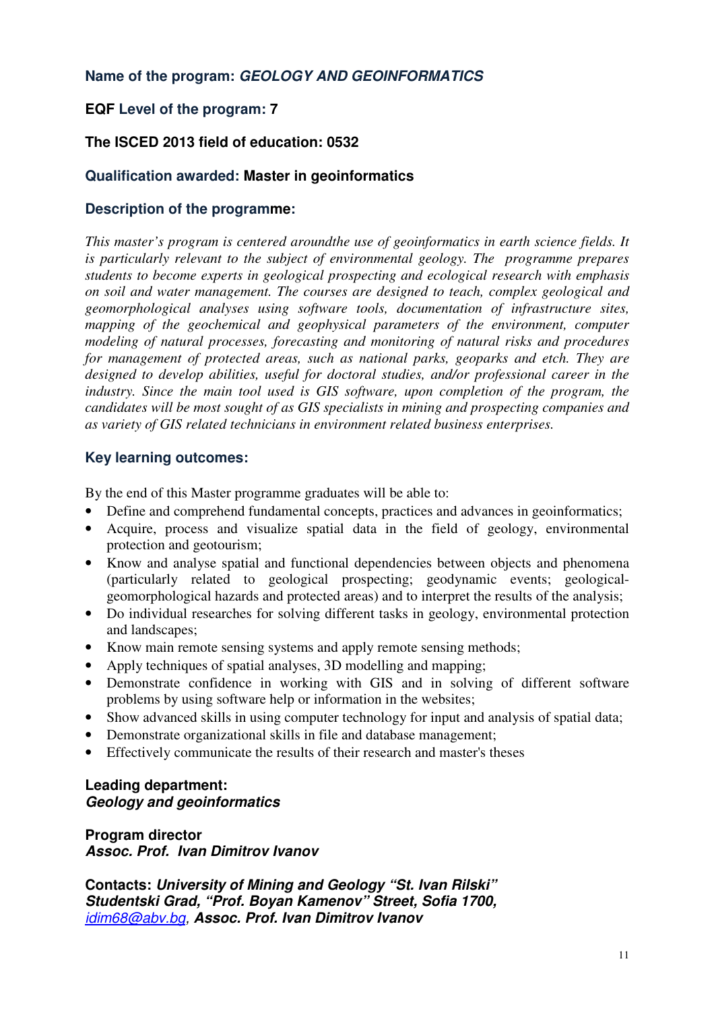### **Name of the program: GEOLOGY AND GEOINFORMATICS**

## **EQF Level of the program: 7**

## **The ISCED 2013 field of education: 0532**

#### **Qualification awarded: Master in geoinformatics**

## **Description of the programme:**

*This master's program is centered aroundthe use of geoinformatics in earth science fields. It is particularly relevant to the subject of environmental geology. The programme prepares students to become experts in geological prospecting and ecological research with emphasis on soil and water management. The courses are designed to teach, complex geological and geomorphological analyses using software tools, documentation of infrastructure sites, mapping of the geochemical and geophysical parameters of the environment, computer modeling of natural processes, forecasting and monitoring of natural risks and procedures for management of protected areas, such as national parks, geoparks and etch. They are designed to develop abilities, useful for doctoral studies, and/or professional career in the industry. Since the main tool used is GIS software, upon completion of the program, the candidates will be most sought of as GIS specialists in mining and prospecting companies and as variety of GIS related technicians in environment related business enterprises.*

#### **Key learning outcomes:**

By the end of this Master programme graduates will be able to:

- Define and comprehend fundamental concepts, practices and advances in geoinformatics;
- Acquire, process and visualize spatial data in the field of geology, environmental protection and geotourism;
- Know and analyse spatial and functional dependencies between objects and phenomena (particularly related to geological prospecting; geodynamic events; geologicalgeomorphological hazards and protected areas) and to interpret the results of the analysis;
- Do individual researches for solving different tasks in geology, environmental protection and landscapes;
- Know main remote sensing systems and apply remote sensing methods;
- Apply techniques of spatial analyses, 3D modelling and mapping;
- Demonstrate confidence in working with GIS and in solving of different software problems by using software help or information in the websites;
- Show advanced skills in using computer technology for input and analysis of spatial data;
- Demonstrate organizational skills in file and database management;
- Effectively communicate the results of their research and master's theses

#### **Leading department: Geology and geoinformatics**

**Program director Assoc. Prof. Ivan Dimitrov Ivanov** 

**Contacts: University of Mining and Geology "St. Ivan Rilski" Studentski Grad, "Prof. Boyan Kamenov" Street, Sofia 1700,** idim68@abv.bg, **Assoc. Prof. Ivan Dimitrov Ivanov**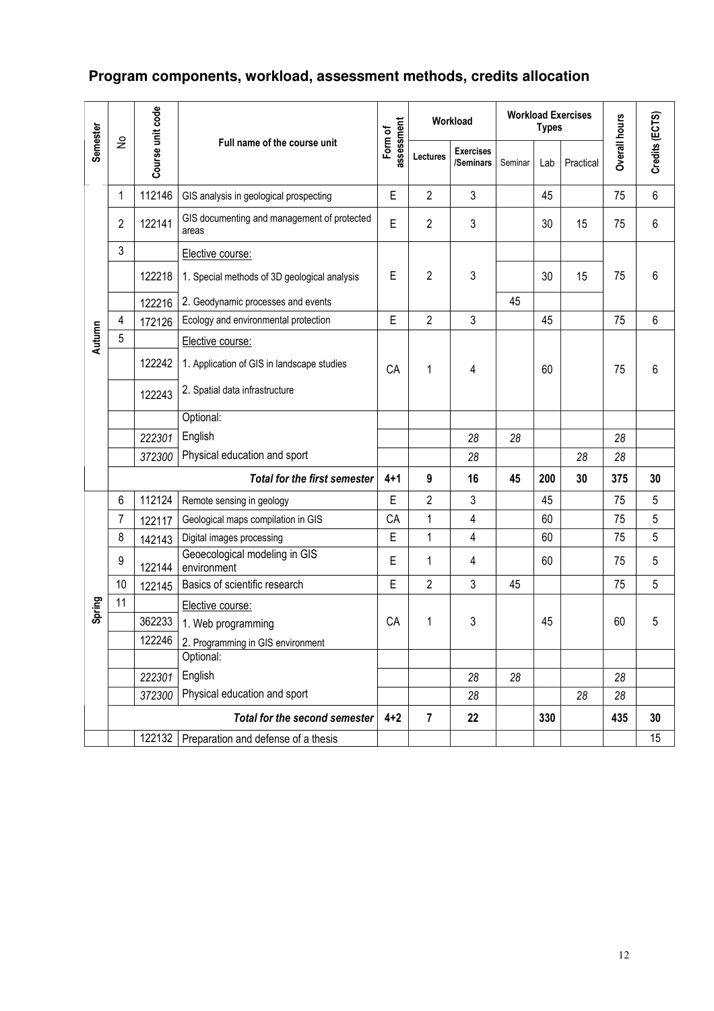# **Program components, workload, assessment methods, credits allocation**

|          |                            |                  |                                                      |                       |                | Workload                      |         | <b>Workload Exercises</b><br>Overall hours<br><b>Types</b><br>Practical<br>Lab<br>75<br>45<br>30<br>75<br>15<br>75<br>30<br>15<br>45<br>75<br>60<br>75<br>28<br>28<br>28<br>200<br>30<br>375<br>75<br>45<br>60<br>75<br>60<br>75<br>75<br>60<br>75<br>45<br>60 |    |     |                |
|----------|----------------------------|------------------|------------------------------------------------------|-----------------------|----------------|-------------------------------|---------|----------------------------------------------------------------------------------------------------------------------------------------------------------------------------------------------------------------------------------------------------------------|----|-----|----------------|
| Semester | $\stackrel{\mathtt{o}}{z}$ | Course unit code | Full name of the course unit                         | assessment<br>Form of | Lectures       | <b>Exercises</b><br>/Seminars | Seminar |                                                                                                                                                                                                                                                                |    |     | Credits (ECTS) |
|          | 1                          | 112146           | GIS analysis in geological prospecting               | Е                     | $\overline{2}$ | 3                             |         |                                                                                                                                                                                                                                                                |    |     | $6\,$          |
|          | $\overline{2}$             | 122141           | GIS documenting and management of protected<br>areas | E                     | $\overline{2}$ | 3                             |         |                                                                                                                                                                                                                                                                |    |     | 6              |
|          | $\mathfrak{Z}$             |                  | Elective course:                                     |                       |                |                               |         |                                                                                                                                                                                                                                                                |    |     |                |
|          |                            | 122218           | 1. Special methods of 3D geological analysis         | E                     | $\overline{2}$ | 3                             |         |                                                                                                                                                                                                                                                                |    |     | 6              |
|          |                            | 122216           | 2. Geodynamic processes and events                   |                       |                |                               | 45      |                                                                                                                                                                                                                                                                |    |     |                |
|          | 4                          | 172126           | Ecology and environmental protection                 | E                     | $\overline{2}$ | $\mathfrak{Z}$                |         |                                                                                                                                                                                                                                                                |    |     | 6              |
| Autumn   | 5                          |                  | Elective course:                                     |                       |                |                               |         |                                                                                                                                                                                                                                                                |    |     |                |
|          |                            | 122242           | 1. Application of GIS in landscape studies           | <b>CA</b>             | 1              | 4                             |         |                                                                                                                                                                                                                                                                |    |     | 6              |
|          |                            | 122243           | 2. Spatial data infrastructure                       |                       |                |                               |         |                                                                                                                                                                                                                                                                |    |     |                |
|          |                            |                  | Optional:                                            |                       |                |                               |         |                                                                                                                                                                                                                                                                |    |     |                |
|          |                            | 222301           | English                                              |                       |                | 28                            | 28      |                                                                                                                                                                                                                                                                |    |     |                |
|          |                            | 372300           | Physical education and sport                         |                       |                | 28                            |         |                                                                                                                                                                                                                                                                |    |     |                |
|          |                            |                  | <b>Total for the first semester</b>                  | $4 + 1$               | 9              | 16                            | 45      |                                                                                                                                                                                                                                                                |    |     | 30             |
|          | 6                          | 112124           | Remote sensing in geology                            | E                     | $\overline{2}$ | $\mathfrak{Z}$                |         |                                                                                                                                                                                                                                                                |    |     | 5              |
|          | 7                          | 122117           | Geological maps compilation in GIS                   | CA                    | 1              | 4                             |         |                                                                                                                                                                                                                                                                |    |     | 5              |
|          | 8                          | 142143           | Digital images processing                            | E                     | $\mathbf{1}$   | 4                             |         |                                                                                                                                                                                                                                                                |    |     | 5              |
|          | 9                          | 122144           | Geoecological modeling in GIS<br>environment         | E                     | 1              | 4                             |         |                                                                                                                                                                                                                                                                |    |     | 5              |
|          | 10                         | 122145           | Basics of scientific research                        | E                     | $\overline{2}$ | 3                             | 45      |                                                                                                                                                                                                                                                                |    |     | 5              |
| Spring   | 11                         |                  | Elective course:                                     |                       |                |                               |         |                                                                                                                                                                                                                                                                |    |     |                |
|          |                            | 362233           | 1. Web programming                                   | CA                    | 1              | 3                             |         |                                                                                                                                                                                                                                                                |    |     | 5              |
|          |                            | 122246           | 2. Programming in GIS environment                    |                       |                |                               |         |                                                                                                                                                                                                                                                                |    |     |                |
|          |                            |                  | Optional:                                            |                       |                |                               |         |                                                                                                                                                                                                                                                                |    |     |                |
|          |                            | 222301           | English                                              |                       |                | 28                            | 28      |                                                                                                                                                                                                                                                                |    | 28  |                |
|          |                            | 372300           | Physical education and sport                         |                       |                | 28                            |         |                                                                                                                                                                                                                                                                | 28 | 28  |                |
|          |                            |                  | Total for the second semester                        | $4 + 2$               | $\overline{7}$ | 22                            |         | 330                                                                                                                                                                                                                                                            |    | 435 | 30             |
|          |                            | 122132           | Preparation and defense of a thesis                  |                       |                |                               |         |                                                                                                                                                                                                                                                                |    |     | 15             |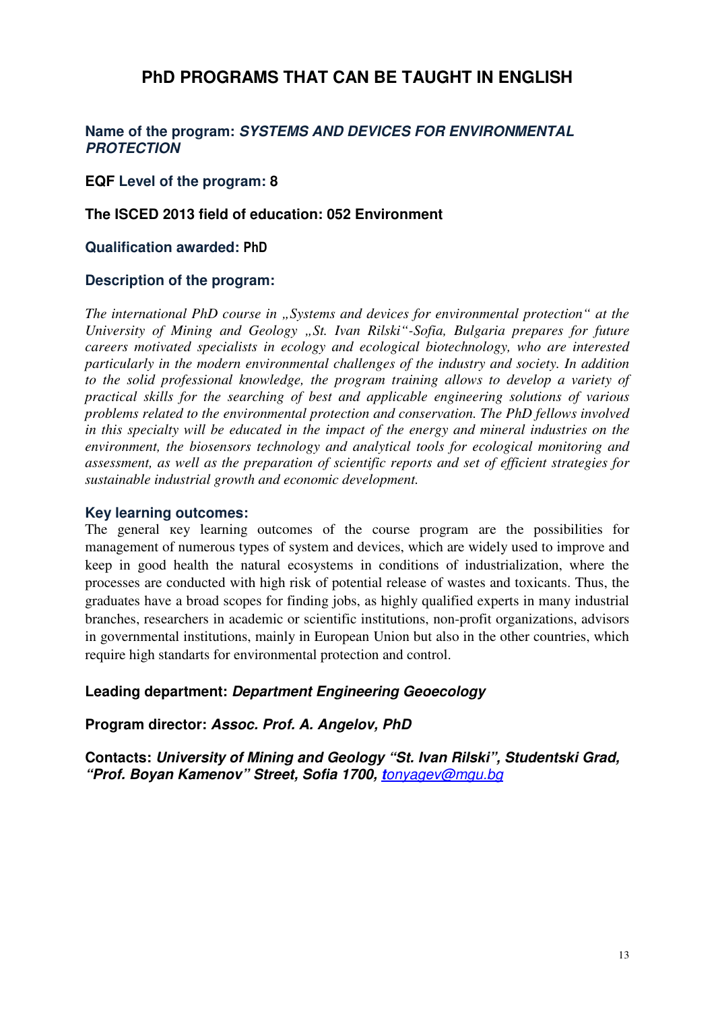# **PhD PROGRAMS THAT CAN BE TAUGHT IN ENGLISH**

#### **Name of the program: SYSTEMS AND DEVICES FOR ENVIRONMENTAL PROTECTION**

#### **EQF Level of the program: 8**

#### **The ISCED 2013 field of education: 052 Environment**

#### **Qualification awarded: PhD**

#### **Description of the program:**

*The international PhD course in "Systems and devices for environmental protection" at the University of Mining and Geology "St. Ivan Rilski"-Sofia, Bulgaria prepares for future careers motivated specialists in ecology and ecological biotechnology, who are interested particularly in the modern environmental challenges of the industry and society. In addition to the solid professional knowledge, the program training allows to develop a variety of practical skills for the searching of best and applicable engineering solutions of various problems related to the environmental protection and conservation. The PhD fellows involved in this specialty will be educated in the impact of the energy and mineral industries on the environment, the biosensors technology and analytical tools for ecological monitoring and assessment, as well as the preparation of scientific reports and set of efficient strategies for sustainable industrial growth and economic development.* 

#### **Key learning outcomes:**

The general кey learning outcomes of the course program are the possibilities for management of numerous types of system and devices, which are widely used to improve and keep in good health the natural ecosystems in conditions of industrialization, where the processes are conducted with high risk of potential release of wastes and toxicants. Thus, the graduates have a broad scopes for finding jobs, as highly qualified experts in many industrial branches, researchers in academic or scientific institutions, non-profit organizations, advisors in governmental institutions, mainly in European Union but also in the other countries, which require high standarts for environmental protection and control.

#### **Leading department: Department Engineering Geoecology**

#### **Program director: Assoc. Prof. A. Angelov, PhD**

**Contacts: University of Mining and Geology "St. Ivan Rilski", Studentski Grad, "Prof. Boyan Kamenov" Street, Sofia 1700, t**onyagev@mgu.bg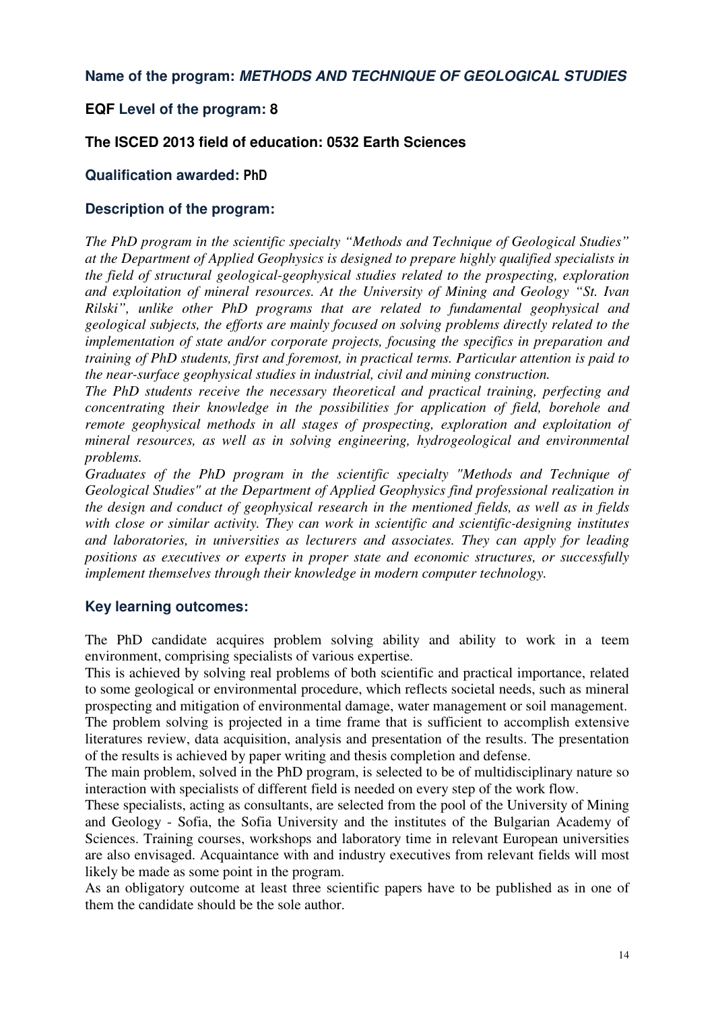#### **Name of the program: METHODS AND TECHNIQUE OF GEOLOGICAL STUDIES**

#### **EQF Level of the program: 8**

#### **The ISCED 2013 field of education: 0532 Earth Sciences**

#### **Qualification awarded: PhD**

#### **Description of the program:**

*The PhD program in the scientific specialty "Methods and Technique of Geological Studies" at the Department of Applied Geophysics is designed to prepare highly qualified specialists in the field of structural geological-geophysical studies related to the prospecting, exploration and exploitation of mineral resources. At the University of Mining and Geology "St. Ivan Rilski", unlike other PhD programs that are related to fundamental geophysical and geological subjects, the efforts are mainly focused on solving problems directly related to the implementation of state and/or corporate projects, focusing the specifics in preparation and training of PhD students, first and foremost, in practical terms. Particular attention is paid to the near-surface geophysical studies in industrial, civil and mining construction.* 

*The PhD students receive the necessary theoretical and practical training, perfecting and concentrating their knowledge in the possibilities for application of field, borehole and remote geophysical methods in all stages of prospecting, exploration and exploitation of mineral resources, as well as in solving engineering, hydrogeological and environmental problems.* 

*Graduates of the PhD program in the scientific specialty "Methods and Technique of Geological Studies" at the Department of Applied Geophysics find professional realization in the design and conduct of geophysical research in the mentioned fields, as well as in fields with close or similar activity. They can work in scientific and scientific-designing institutes and laboratories, in universities as lecturers and associates. They can apply for leading positions as executives or experts in proper state and economic structures, or successfully implement themselves through their knowledge in modern computer technology.* 

#### **Key learning outcomes:**

The PhD candidate acquires problem solving ability and ability to work in a teem environment, comprising specialists of various expertise.

This is achieved by solving real problems of both scientific and practical importance, related to some geological or environmental procedure, which reflects societal needs, such as mineral prospecting and mitigation of environmental damage, water management or soil management.

The problem solving is projected in a time frame that is sufficient to accomplish extensive literatures review, data acquisition, analysis and presentation of the results. The presentation of the results is achieved by paper writing and thesis completion and defense.

The main problem, solved in the PhD program, is selected to be of multidisciplinary nature so interaction with specialists of different field is needed on every step of the work flow.

These specialists, acting as consultants, are selected from the pool of the University of Mining and Geology - Sofia, the Sofia University and the institutes of the Bulgarian Academy of Sciences. Training courses, workshops and laboratory time in relevant European universities are also envisaged. Acquaintance with and industry executives from relevant fields will most likely be made as some point in the program.

As an obligatory outcome at least three scientific papers have to be published as in one of them the candidate should be the sole author.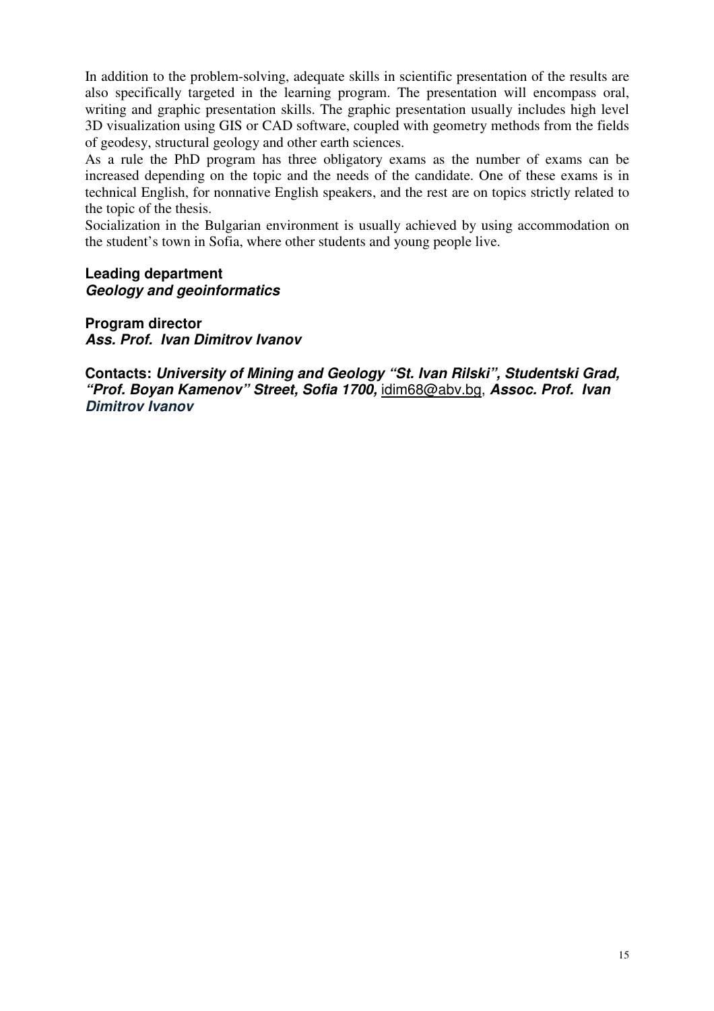In addition to the problem-solving, adequate skills in scientific presentation of the results are also specifically targeted in the learning program. The presentation will encompass oral, writing and graphic presentation skills. The graphic presentation usually includes high level 3D visualization using GIS or CAD software, coupled with geometry methods from the fields of geodesy, structural geology and other earth sciences.

As a rule the PhD program has three obligatory exams as the number of exams can be increased depending on the topic and the needs of the candidate. One of these exams is in technical English, for nonnative English speakers, and the rest are on topics strictly related to the topic of the thesis.

Socialization in the Bulgarian environment is usually achieved by using accommodation on the student's town in Sofia, where other students and young people live.

#### **Leading department Geology and geoinformatics**

**Program director Ass. Prof. Ivan Dimitrov Ivanov** 

**Contacts: University of Mining and Geology "St. Ivan Rilski", Studentski Grad, "Prof. Boyan Kamenov" Street, Sofia 1700,** idim68@abv.bg, **Assoc. Prof. Ivan Dimitrov Ivanov**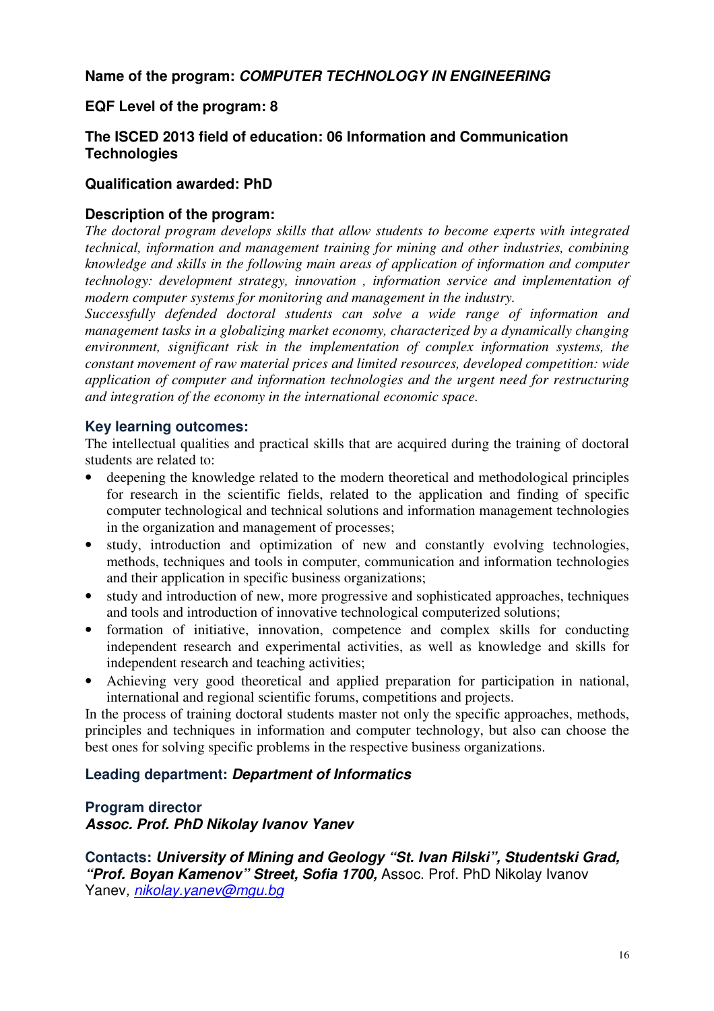**Name of the program: COMPUTER TECHNOLOGY IN ENGINEERING**

#### **EQF Level of the program: 8**

#### **The ISCED 2013 field of education: 06 Information and Communication Technologies**

#### **Qualification awarded: PhD**

#### **Description of the program:**

*The doctoral program develops skills that allow students to become experts with integrated technical, information and management training for mining and other industries, combining knowledge and skills in the following main areas of application of information and computer technology: development strategy, innovation , information service and implementation of modern computer systems for monitoring and management in the industry.* 

*Successfully defended doctoral students can solve a wide range of information and management tasks in a globalizing market economy, characterized by a dynamically changing environment, significant risk in the implementation of complex information systems, the constant movement of raw material prices and limited resources, developed competition: wide application of computer and information technologies and the urgent need for restructuring and integration of the economy in the international economic space.* 

#### **Key learning outcomes:**

The intellectual qualities and practical skills that are acquired during the training of doctoral students are related to:

- deepening the knowledge related to the modern theoretical and methodological principles for research in the scientific fields, related to the application and finding of specific computer technological and technical solutions and information management technologies in the organization and management of processes;
- study, introduction and optimization of new and constantly evolving technologies, methods, techniques and tools in computer, communication and information technologies and their application in specific business organizations;
- study and introduction of new, more progressive and sophisticated approaches, techniques and tools and introduction of innovative technological computerized solutions;
- formation of initiative, innovation, competence and complex skills for conducting independent research and experimental activities, as well as knowledge and skills for independent research and teaching activities;
- Achieving very good theoretical and applied preparation for participation in national, international and regional scientific forums, competitions and projects.

In the process of training doctoral students master not only the specific approaches, methods, principles and techniques in information and computer technology, but also can choose the best ones for solving specific problems in the respective business organizations.

#### **Leading department: Department of Informatics**

#### **Program director Assoc. Prof. PhD Nikolay Ivanov Yanev**

**Contacts: University of Mining and Geology "St. Ivan Rilski", Studentski Grad, "Prof. Boyan Kamenov" Street, Sofia 1700,** Assoc. Prof. PhD Nikolay Ivanov Yanev, nikolay.yanev@mgu.bg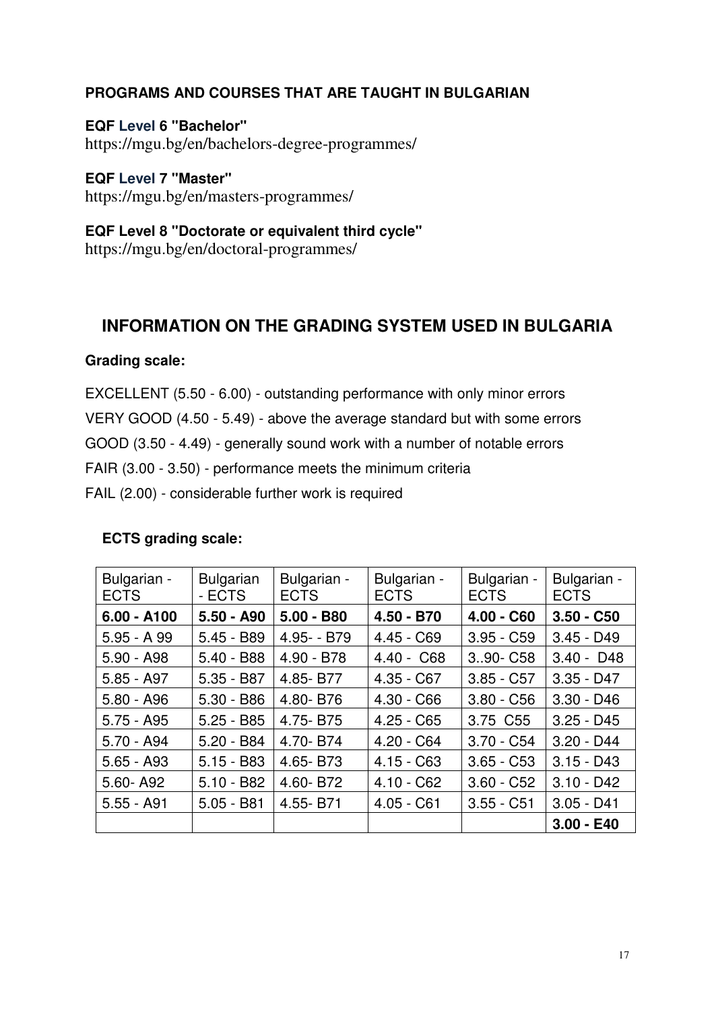### **PROGRAMS AND COURSES THAT ARE TAUGHT IN BULGARIAN**

**EQF Level 6 ''Bachelor"** https://mgu.bg/en/bachelors-degree-programmes/

**EQF Level 7 ''Master"** https://mgu.bg/en/masters-programmes/

**EQF Level 8 ''Doctorate or equivalent third cycle"**  https://mgu.bg/en/doctoral-programmes/

# **INFORMATION ON THE GRADING SYSTEM USED IN BULGARIA**

#### **Grading scale:**

EXCELLENT (5.50 - 6.00) - outstanding performance with only minor errors VERY GOOD (4.50 - 5.49) - above the average standard but with some errors GOOD (3.50 - 4.49) - generally sound work with a number of notable errors FAIR (3.00 - 3.50) - performance meets the minimum criteria FAIL (2.00) - considerable further work is required

| <b>ECTS grading scale:</b> |  |
|----------------------------|--|
|----------------------------|--|

| Bulgarian -<br><b>ECTS</b> | <b>Bulgarian</b><br>- ECTS | Bulgarian -<br><b>ECTS</b> | Bulgarian -<br><b>ECTS</b> | Bulgarian -<br><b>ECTS</b> | Bulgarian -<br><b>ECTS</b> |
|----------------------------|----------------------------|----------------------------|----------------------------|----------------------------|----------------------------|
| $6.00 - A100$              | $5.50 - A90$               | $5.00 - B80$               | $4.50 - B70$               | $4.00 - C60$               | $3.50 - C50$               |
| $5.95 - A.99$              | $5.45 - B89$               | 4.95 - B79                 | $4.45 - C69$               | $3.95 - C59$               | $3.45 - D49$               |
| $5.90 - A98$               | $5.40 - B88$               | $4.90 - B78$               | $4.40 - C68$               | 390 - C58                  | $3.40 - D48$               |
| $5.85 - A97$               | $5.35 - B87$               | 4.85-B77                   | $4.35 - C67$               | $3.85 - C57$               | $3.35 - D47$               |
| $5.80 - A96$               | $5.30 - B86$               | 4.80-B76                   | $4.30 - C66$               | $3.80 - C56$               | $3.30 - D46$               |
| $5.75 - A95$               | $5.25 - B85$               | 4.75-B75                   | $4.25 - C65$               | 3.75 C55                   | $3.25 - D45$               |
| $5.70 - A94$               | $5.20 - B84$               | 4.70-B74                   | $4.20 - C64$               | $3.70 - C54$               | $3.20 - D44$               |
| $5.65 - A93$               | $5.15 - B83$               | 4.65-B73                   | $4.15 - C63$               | $3.65 - C53$               | $3.15 - D43$               |
| 5.60-A92                   | $5.10 - B82$               | 4.60-B72                   | $4.10 - C62$               | $3.60 - C52$               | $3.10 - D42$               |
| $5.55 - A91$               | $5.05 - B81$               | 4.55-B71                   | $4.05 - C61$               | $3.55 - C51$               | $3.05 - D41$               |
|                            |                            |                            |                            |                            | $3.00 - E40$               |